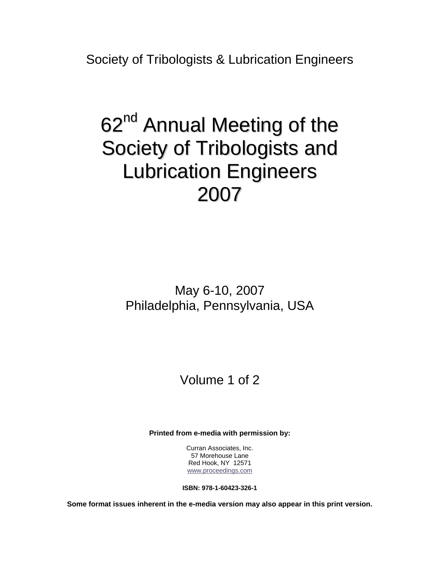Society of Tribologists & Lubrication Engineers

# 62<sup>nd</sup> Annual Meeting of the Society of Tribologists and Lubrication Engineers 2007

May 6-10, 2007 Philadelphia, Pennsylvania, USA

## Volume 1 of 2

**Printed from e-media with permission by:** 

Curran Associates, Inc. 57 Morehouse Lane Red Hook, NY 12571 [www.proceedings.com](http://www.proceedings.com/)

**ISBN: 978-1-60423-326-1** 

**Some format issues inherent in the e-media version may also appear in this print version.**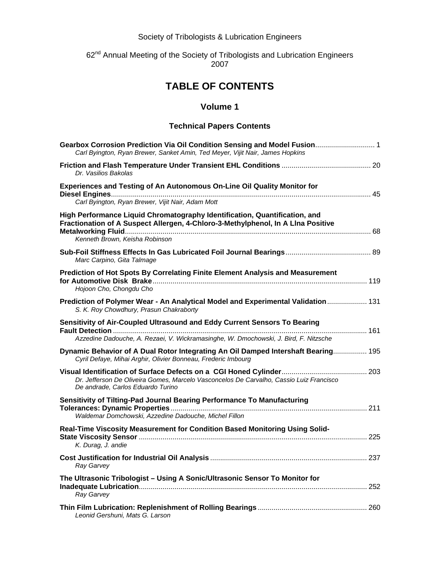Society of Tribologists & Lubrication Engineers

## 62<sup>nd</sup> Annual Meeting of the Society of Tribologists and Lubrication Engineers 2007

## **TABLE OF CONTENTS**

### **Volume 1**

#### **Technical Papers Contents**

| Gearbox Corrosion Prediction Via Oil Condition Sensing and Model Fusion 1<br>Carl Byington, Ryan Brewer, Sanket Amin, Ted Meyer, Vijit Nair, James Hopkins                                       |     |
|--------------------------------------------------------------------------------------------------------------------------------------------------------------------------------------------------|-----|
| Dr. Vasilios Bakolas                                                                                                                                                                             |     |
| Experiences and Testing of An Autonomous On-Line Oil Quality Monitor for<br>Carl Byington, Ryan Brewer, Vijit Nair, Adam Mott                                                                    |     |
| High Performance Liquid Chromatography Identification, Quantification, and<br>Fractionation of A Suspect Allergen, 4-Chloro-3-Methylphenol, In A Lina Positive<br>Kenneth Brown, Keisha Robinson |     |
| Marc Carpino, Gita Talmage                                                                                                                                                                       |     |
| Prediction of Hot Spots By Correlating Finite Element Analysis and Measurement<br>Hojoon Cho, Chongdu Cho                                                                                        |     |
| Prediction of Polymer Wear - An Analytical Model and Experimental Validation 131<br>S. K. Roy Chowdhury, Prasun Chakraborty                                                                      |     |
| Sensitivity of Air-Coupled Ultrasound and Eddy Current Sensors To Bearing<br>Azzedine Dadouche, A. Rezaei, V. Wickramasinghe, W. Dmochowski, J. Bird, F. Nitzsche                                |     |
| Dynamic Behavior of A Dual Rotor Integrating An Oil Damped Intershaft Bearing 195<br>Cyril Defaye, Mihai Arghir, Olivier Bonneau, Frederic Imbourg                                               |     |
| Dr. Jefferson De Oliveira Gomes, Marcelo Vasconcelos De Carvalho, Cassio Luiz Francisco<br>De andrade, Carlos Eduardo Turino                                                                     |     |
| Sensitivity of Tilting-Pad Journal Bearing Performance To Manufacturing<br>Waldemar Domchowski, Azzedine Dadouche, Michel Fillon                                                                 |     |
| Real-Time Viscosity Measurement for Condition Based Monitoring Using Solid-<br>K. Durag, J. andie                                                                                                |     |
| Ray Garvey                                                                                                                                                                                       |     |
| The Ultrasonic Tribologist - Using A Sonic/Ultrasonic Sensor To Monitor for<br>Ray Garvey                                                                                                        | 252 |
| Leonid Gershuni, Mats G. Larson                                                                                                                                                                  |     |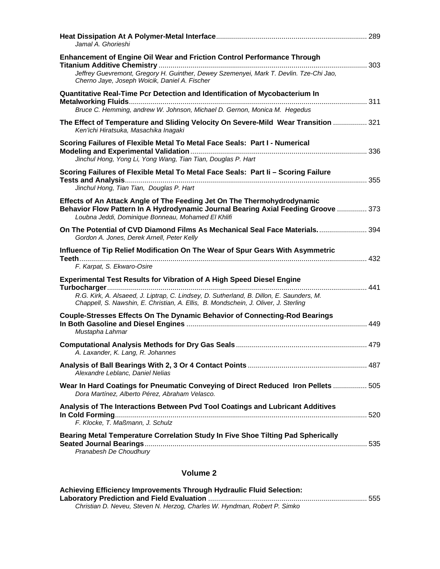| Jamal A. Ghorieshi                                                                                                                                                                                                                                              |  |
|-----------------------------------------------------------------------------------------------------------------------------------------------------------------------------------------------------------------------------------------------------------------|--|
| <b>Enhancement of Engine Oil Wear and Friction Control Performance Through</b><br>Jeffrey Guevremont, Gregory H. Guinther, Dewey Szemenyei, Mark T. Devlin. Tze-Chi Jao,<br>Cherno Jaye, Joseph Woicik, Daniel A. Fischer                                       |  |
| Quantitative Real-Time Pcr Detection and Identification of Mycobacterium In<br>Bruce C. Hemming, andrew W. Johnson, Michael D. Gernon, Monica M. Hegedus                                                                                                        |  |
| The Effect of Temperature and Sliding Velocity On Severe-Mild Wear Transition  321<br>Ken'ichi Hiratsuka, Masachika Inagaki                                                                                                                                     |  |
| Scoring Failures of Flexible Metal To Metal Face Seals: Part I - Numerical<br>Jinchul Hong, Yong Li, Yong Wang, Tian Tian, Douglas P. Hart                                                                                                                      |  |
| Scoring Failures of Flexible Metal To Metal Face Seals: Part Ii - Scoring Failure<br>Jinchul Hong, Tian Tian, Douglas P. Hart                                                                                                                                   |  |
| Effects of An Attack Angle of The Feeding Jet On The Thermohydrodynamic<br>Behavior Flow Pattern In A Hydrodynamic Journal Bearing Axial Feeding Groove  373<br>Loubna Jeddi, Dominique Bonneau, Mohamed El Khlifi                                              |  |
| On The Potential of CVD Diamond Films As Mechanical Seal Face Materials 394<br>Gordon A. Jones, Derek Arnell, Peter Kelly                                                                                                                                       |  |
| Influence of Tip Relief Modification On The Wear of Spur Gears With Asymmetric<br>F. Karpat, S. Ekwaro-Osire                                                                                                                                                    |  |
| <b>Experimental Test Results for Vibration of A High Speed Diesel Engine</b><br>R.G. Kirk, A. Alsaeed, J. Liptrap, C. Lindsey, D. Sutherland, B. Dillon, E. Saunders, M.<br>Chappell, S. Nawshin, E. Christian, A. Ellis, B. Mondschein, J. Oliver, J. Sterling |  |
| <b>Couple-Stresses Effects On The Dynamic Behavior of Connecting-Rod Bearings</b><br>Mustapha Lahmar                                                                                                                                                            |  |
| A. Laxander, K. Lang, R. Johannes                                                                                                                                                                                                                               |  |
| Alexandre Leblanc, Daniel Nelias                                                                                                                                                                                                                                |  |
| Wear In Hard Coatings for Pneumatic Conveying of Direct Reduced Iron Pellets  505<br>Dora Martínez, Alberto Pérez, Abraham Velasco.                                                                                                                             |  |
| Analysis of The Interactions Between Pvd Tool Coatings and Lubricant Additives<br>F. Klocke, T. Maßmann, J. Schulz                                                                                                                                              |  |
| Bearing Metal Temperature Correlation Study In Five Shoe Tilting Pad Spherically<br>Pranabesh De Choudhury                                                                                                                                                      |  |

## **Volume 2**

| Achieving Efficiency Improvements Through Hydraulic Fluid Selection:      |  |
|---------------------------------------------------------------------------|--|
|                                                                           |  |
| Christian D. Neveu, Steven N. Herzog, Charles W. Hyndman, Robert P. Simko |  |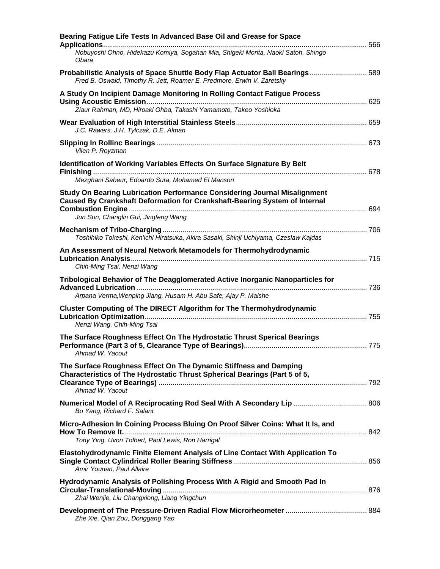| Bearing Fatigue Life Tests In Advanced Base Oil and Grease for Space                                                                                    |  |
|---------------------------------------------------------------------------------------------------------------------------------------------------------|--|
| Nobuyoshi Ohno, Hidekazu Komiya, Sogahan Mia, Shigeki Morita, Naoki Satoh, Shingo<br>Obara                                                              |  |
| Probabilistic Analysis of Space Shuttle Body Flap Actuator Ball Bearings 589<br>Fred B. Oswald, Timothy R. Jett, Roamer E. Predmore, Erwin V. Zaretsky  |  |
| A Study On Incipient Damage Monitoring In Rolling Contact Fatigue Process                                                                               |  |
| Ziaur Rahman, MD, Hiroaki Ohba, Takashi Yamamoto, Takeo Yoshioka                                                                                        |  |
| J.C. Rawers, J.H. Tylczak, D.E. Alman                                                                                                                   |  |
| Vilen P. Royzman                                                                                                                                        |  |
| Identification of Working Variables Effects On Surface Signature By Belt                                                                                |  |
| Mezghani Sabeur, Edoardo Sura, Mohamed El Mansori                                                                                                       |  |
| Study On Bearing Lubrication Performance Considering Journal Misalignment<br>Caused By Crankshaft Deformation for Crankshaft-Bearing System of Internal |  |
| Jun Sun, Changlin Gui, Jingfeng Wang                                                                                                                    |  |
| Toshihiko Tokeshi, Ken'ichi Hiratsuka, Akira Sasaki, Shinji Uchiyama, Czeslaw Kajdas                                                                    |  |
| An Assessment of Neural Network Metamodels for Thermohydrodynamic                                                                                       |  |
| Chih-Ming Tsai, Nenzi Wang                                                                                                                              |  |
| Tribological Behavior of The Deagglomerated Active Inorganic Nanoparticles for                                                                          |  |
| Arpana Verma, Wenping Jiang, Husam H. Abu Safe, Ajay P. Malshe                                                                                          |  |
| Cluster Computing of The DIRECT Algorithm for The Thermohydrodynamic<br>Nenzi Wang, Chih-Ming Tsai                                                      |  |
| The Surface Roughness Effect On The Hydrostatic Thrust Sperical Bearings                                                                                |  |
| Ahmad W. Yacout                                                                                                                                         |  |
| The Surface Roughness Effect On The Dynamic Stiffness and Damping<br>Characteristics of The Hydrostatic Thrust Spherical Bearings (Part 5 of 5,         |  |
| Ahmad W. Yacout                                                                                                                                         |  |
| Bo Yang, Richard F. Salant                                                                                                                              |  |
| Micro-Adhesion In Coining Process Bluing On Proof Silver Coins: What It Is, and                                                                         |  |
| Tony Ying, Uvon Tolbert, Paul Lewis, Ron Harrigal                                                                                                       |  |
| Elastohydrodynamic Finite Element Analysis of Line Contact With Application To<br>Amir Younan, Paul Allaire                                             |  |
| Hydrodynamic Analysis of Polishing Process With A Rigid and Smooth Pad In                                                                               |  |
| Zhai Wenjie, Liu Changxiong, Liang Yingchun                                                                                                             |  |
| Zhe Xie, Qian Zou, Donggang Yao                                                                                                                         |  |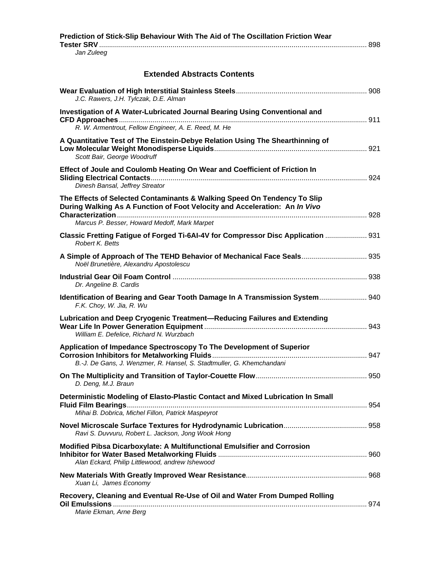| Prediction of Stick-Slip Behaviour With The Aid of The Oscillation Friction Wear                                                                       |  |
|--------------------------------------------------------------------------------------------------------------------------------------------------------|--|
| Jan Zuleeg                                                                                                                                             |  |
| <b>Extended Abstracts Contents</b>                                                                                                                     |  |
| J.C. Rawers, J.H. Tylczak, D.E. Alman                                                                                                                  |  |
| Investigation of A Water-Lubricated Journal Bearing Using Conventional and<br>R. W. Armentrout, Fellow Engineer, A. E. Reed, M. He                     |  |
| A Quantitative Test of The Einstein-Debye Relation Using The Shearthinning of<br>Scott Bair, George Woodruff                                           |  |
| Effect of Joule and Coulomb Heating On Wear and Coefficient of Friction In<br>Dinesh Bansal, Jeffrey Streator                                          |  |
| The Effects of Selected Contaminants & Walking Speed On Tendency To Slip<br>During Walking As A Function of Foot Velocity and Acceleration: An In Vivo |  |
| Marcus P. Besser, Howard Medoff, Mark Marpet                                                                                                           |  |
| Classic Fretting Fatigue of Forged Ti-6AI-4V for Compressor Disc Application  931<br>Robert K. Betts                                                   |  |
| A Simple of Approach of The TEHD Behavior of Mechanical Face Seals 935<br>Noël Brunetière, Alexandru Apostolescu                                       |  |
| Dr. Angeline B. Cardis                                                                                                                                 |  |
| Identification of Bearing and Gear Tooth Damage In A Transmission System 940<br>F.K. Choy, W. Jia, R. Wu                                               |  |
| Lubrication and Deep Cryogenic Treatment-Reducing Failures and Extending<br>William E. Defelice, Richard N. Wurzbach                                   |  |
| Application of Impedance Spectroscopy To The Development of Superior<br>B.-J. De Gans, J. Wenzmer, R. Hansel, S. Stadtmuller, G. Khemchandani          |  |
| D. Deng, M.J. Braun                                                                                                                                    |  |
| Deterministic Modeling of Elasto-Plastic Contact and Mixed Lubrication In Small<br>Mihai B. Dobrica, Michel Fillon, Patrick Maspeyrot                  |  |
| Ravi S. Duvvuru, Robert L. Jackson, Jong Wook Hong                                                                                                     |  |
| Modified Pibsa Dicarboxylate: A Multifunctional Emulsifier and Corrosion<br>Alan Eckard, Philip Littlewood, andrew Ishewood                            |  |
| Xuan Li, James Economy                                                                                                                                 |  |
| Recovery, Cleaning and Eventual Re-Use of Oil and Water From Dumped Rolling<br>Marie Ekman, Arne Berg                                                  |  |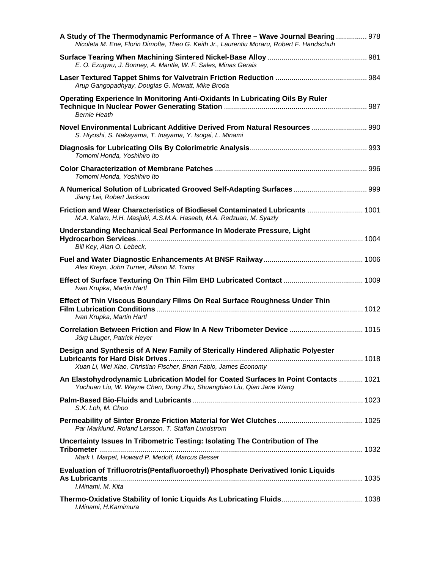| A Study of The Thermodynamic Performance of A Three - Wave Journal Bearing 978<br>Nicoleta M. Ene, Florin Dimofte, Theo G. Keith Jr., Laurentiu Moraru, Robert F. Handschuh |  |
|-----------------------------------------------------------------------------------------------------------------------------------------------------------------------------|--|
| E. O. Ezugwu, J. Bonney, A. Mantle, W. F. Sales, Minas Gerais                                                                                                               |  |
| Arup Gangopadhyay, Douglas G. Mcwatt, Mike Broda                                                                                                                            |  |
| Operating Experience In Monitoring Anti-Oxidants In Lubricating Oils By Ruler<br><b>Bernie Heath</b>                                                                        |  |
| Novel Environmental Lubricant Additive Derived From Natural Resources  990<br>S. Hiyoshi, S. Nakayama, T. Inayama, Y. Isogai, L. Minami                                     |  |
| Tomomi Honda, Yoshihiro Ito                                                                                                                                                 |  |
| Tomomi Honda, Yoshihiro Ito                                                                                                                                                 |  |
| Jiang Lei, Robert Jackson                                                                                                                                                   |  |
| Friction and Wear Characteristics of Biodiesel Contaminated Lubricants  1001<br>M.A. Kalam, H.H. Masjuki, A.S.M.A. Haseeb, M.A. Redzuan, M. Syazly                          |  |
| Understanding Mechanical Seal Performance In Moderate Pressure, Light<br>Bill Key, Alan O. Lebeck,                                                                          |  |
| Alex Kreyn, John Turner, Allison M. Toms                                                                                                                                    |  |
| Ivan Krupka, Martin Hartl                                                                                                                                                   |  |
| Effect of Thin Viscous Boundary Films On Real Surface Roughness Under Thin<br>Ivan Krupka, Martin Hartl                                                                     |  |
| Correlation Between Friction and Flow In A New Tribometer Device  1015<br>Jörg Läuger, Patrick Heyer                                                                        |  |
| Design and Synthesis of A New Family of Sterically Hindered Aliphatic Polyester<br>Xuan Li, Wei Xiao, Christian Fischer, Brian Fabio, James Economy                         |  |
| An Elastohydrodynamic Lubrication Model for Coated Surfaces In Point Contacts  1021<br>Yuchuan Liu, W. Wayne Chen, Dong Zhu, Shuangbiao Liu, Qian Jane Wang                 |  |
| S.K. Loh, M. Choo                                                                                                                                                           |  |
| Par Marklund, Roland Larsson, T. Staffan Lundstrom                                                                                                                          |  |
| Uncertainty Issues In Tribometric Testing: Isolating The Contribution of The<br>Mark I. Marpet, Howard P. Medoff, Marcus Besser                                             |  |
| Evaluation of Trifluorotris(Pentafluoroethyl) Phosphate Derivatived Ionic Liquids<br>I.Minami, M. Kita                                                                      |  |
| I.Minami, H.Kamimura                                                                                                                                                        |  |